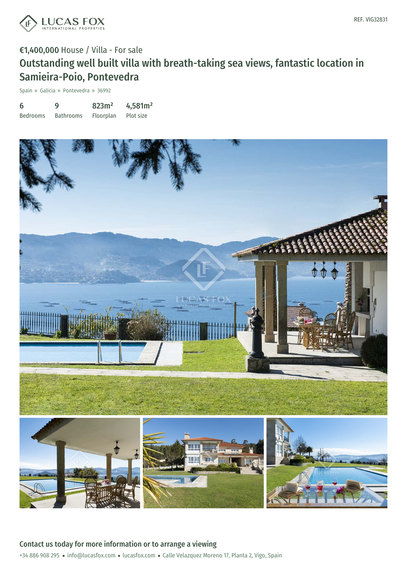

# €1,400,000 House / Villa - For sale Outstanding well built villa with breath-taking sea views, fantastic location in Samieira-Poio, Pontevedra

Spain » Galicia » Pontevedra » 36992

| 6               | 9                | 823m <sup>2</sup> | 4,581m <sup>2</sup> |
|-----------------|------------------|-------------------|---------------------|
| <b>Bedrooms</b> | <b>Bathrooms</b> | Floorplan         | Plot size           |

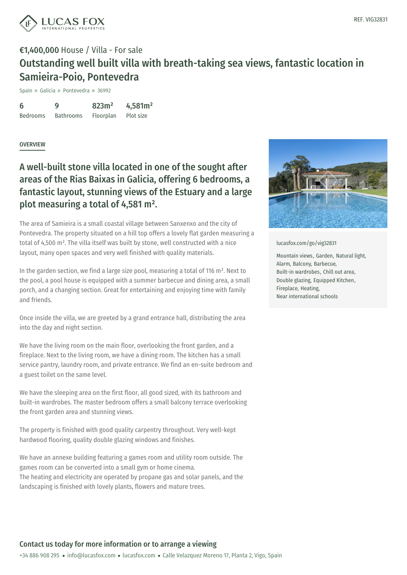

## €1,400,000 House / Villa - For sale Outstanding well built villa with breath-taking sea views, fantastic location in Samieira-Poio, Pontevedra

Spain » Galicia » Pontevedra » 36992

6 Bedrooms  $\mathbf Q$ Bathrooms 823m² Floorplan 4,581m² Plot size

#### **OVERVIEW**

## A well-built stone villa located in one of the sought after areas of the Rias Baixas in Galicia, offering 6 bedrooms, a fantastic layout, stunning views of the Estuary and a large plot measuring a total of 4,581 m².

The area of Samieira is a small coastal village between Sanxenxo and the city of Pontevedra. The property situated on a hill top offers a lovely flat garden measuring a total of 4,500 m². The villa itself was built by stone, well constructed with a nice layout, many open spaces and very well finished with quality materials.

In the garden section, we find a large size pool, measuring a total of 116 m². Next to the pool, a pool house is equipped with a summer barbecue and dining area, a small porch, and a changing section. Great for entertaining and enjoying time with family and friends.

Once inside the villa, we are greeted by a grand entrance hall, distributing the area into the day and night section.

We have the living room on the main floor, overlooking the front garden, and a fireplace. Next to the living room, we have a dining room. The kitchen has a small service pantry, laundry room, and private entrance. We find an en-suite bedroom and a guest toilet on the same level.

We have the sleeping area on the first floor, all good sized, with its bathroom and built-in wardrobes. The master bedroom offers a small balcony terrace overlooking the front garden area and [stunning](mailto:info@lucasfox.com) vi[ews.](https://www.lucasfox.com)

The property is finished with good quality carpentry throughout. Very well-kept hardwood flooring, quality double glazing windows and finishes.

We have an annexe building featuring a games room and utility room outside. The games room can be converted into a small gym or home cinema. The heating and electricity are operated by propane gas and solar panels, and the landscaping is finished with lovely plants, flowers and mature trees.



[lucasfox.com/go/vig32831](https://www.lucasfox.com/go/vig32831)

Mountain views, Garden, Natural light, Alarm, Balcony, Barbecue, Built-in wardrobes, Chill out area, Double glazing, Equipped Kitchen, Fireplace, Heating, Near international schools